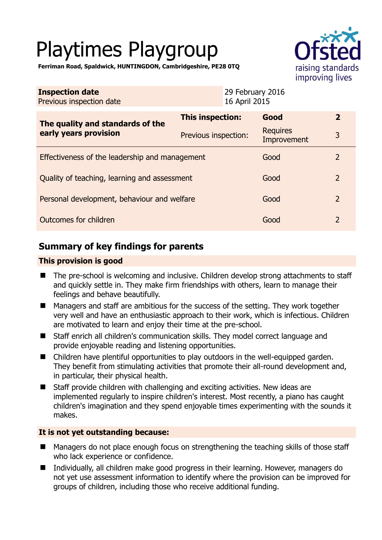# Playtimes Playgroup



**Ferriman Road, Spaldwick, HUNTINGDON, Cambridgeshire, PE28 0TQ** 

| <b>Inspection date</b><br>Previous inspection date        | 29 February 2016<br>16 April 2015 |                                |                |
|-----------------------------------------------------------|-----------------------------------|--------------------------------|----------------|
| The quality and standards of the<br>early years provision | This inspection:                  | Good                           | $\overline{2}$ |
|                                                           | Previous inspection:              | <b>Requires</b><br>Improvement | 3              |
| Effectiveness of the leadership and management            |                                   | Good                           | $\overline{2}$ |
| Quality of teaching, learning and assessment              |                                   | Good                           | $\overline{2}$ |
| Personal development, behaviour and welfare               |                                   | Good                           | $\overline{2}$ |
| Outcomes for children                                     |                                   | Good                           | $\overline{2}$ |

# **Summary of key findings for parents**

## **This provision is good**

- The pre-school is welcoming and inclusive. Children develop strong attachments to staff and quickly settle in. They make firm friendships with others, learn to manage their feelings and behave beautifully.
- Managers and staff are ambitious for the success of the setting. They work together very well and have an enthusiastic approach to their work, which is infectious. Children are motivated to learn and enjoy their time at the pre-school.
- Staff enrich all children's communication skills. They model correct language and provide enjoyable reading and listening opportunities.
- Children have plentiful opportunities to play outdoors in the well-equipped garden. They benefit from stimulating activities that promote their all-round development and, in particular, their physical health.
- Staff provide children with challenging and exciting activities. New ideas are implemented regularly to inspire children's interest. Most recently, a piano has caught children's imagination and they spend enjoyable times experimenting with the sounds it makes.

## **It is not yet outstanding because:**

- Managers do not place enough focus on strengthening the teaching skills of those staff who lack experience or confidence.
- Individually, all children make good progress in their learning. However, managers do not yet use assessment information to identify where the provision can be improved for groups of children, including those who receive additional funding.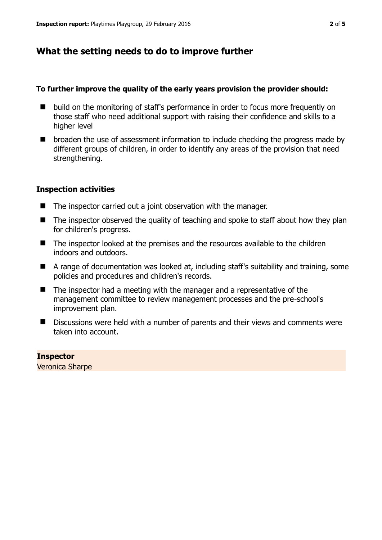# **What the setting needs to do to improve further**

## **To further improve the quality of the early years provision the provider should:**

- build on the monitoring of staff's performance in order to focus more frequently on those staff who need additional support with raising their confidence and skills to a higher level
- $\blacksquare$  broaden the use of assessment information to include checking the progress made by different groups of children, in order to identify any areas of the provision that need strengthening.

## **Inspection activities**

- The inspector carried out a joint observation with the manager.
- $\blacksquare$  The inspector observed the quality of teaching and spoke to staff about how they plan for children's progress.
- The inspector looked at the premises and the resources available to the children indoors and outdoors.
- A range of documentation was looked at, including staff's suitability and training, some policies and procedures and children's records.
- $\blacksquare$  The inspector had a meeting with the manager and a representative of the management committee to review management processes and the pre-school's improvement plan.
- Discussions were held with a number of parents and their views and comments were taken into account.

**Inspector**  Veronica Sharpe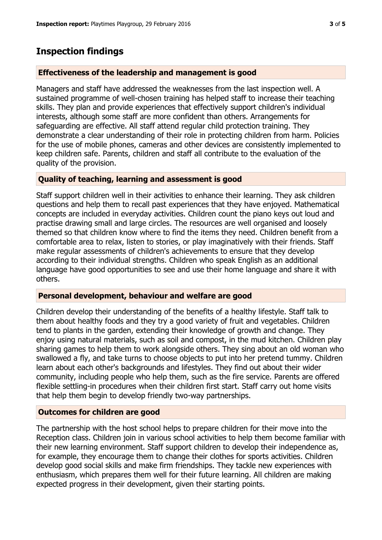## **Inspection findings**

#### **Effectiveness of the leadership and management is good**

Managers and staff have addressed the weaknesses from the last inspection well. A sustained programme of well-chosen training has helped staff to increase their teaching skills. They plan and provide experiences that effectively support children's individual interests, although some staff are more confident than others. Arrangements for safeguarding are effective. All staff attend regular child protection training. They demonstrate a clear understanding of their role in protecting children from harm. Policies for the use of mobile phones, cameras and other devices are consistently implemented to keep children safe. Parents, children and staff all contribute to the evaluation of the quality of the provision.

### **Quality of teaching, learning and assessment is good**

Staff support children well in their activities to enhance their learning. They ask children questions and help them to recall past experiences that they have enjoyed. Mathematical concepts are included in everyday activities. Children count the piano keys out loud and practise drawing small and large circles. The resources are well organised and loosely themed so that children know where to find the items they need. Children benefit from a comfortable area to relax, listen to stories, or play imaginatively with their friends. Staff make regular assessments of children's achievements to ensure that they develop according to their individual strengths. Children who speak English as an additional language have good opportunities to see and use their home language and share it with others.

#### **Personal development, behaviour and welfare are good**

Children develop their understanding of the benefits of a healthy lifestyle. Staff talk to them about healthy foods and they try a good variety of fruit and vegetables. Children tend to plants in the garden, extending their knowledge of growth and change. They enjoy using natural materials, such as soil and compost, in the mud kitchen. Children play sharing games to help them to work alongside others. They sing about an old woman who swallowed a fly, and take turns to choose objects to put into her pretend tummy. Children learn about each other's backgrounds and lifestyles. They find out about their wider community, including people who help them, such as the fire service. Parents are offered flexible settling-in procedures when their children first start. Staff carry out home visits that help them begin to develop friendly two-way partnerships.

#### **Outcomes for children are good**

The partnership with the host school helps to prepare children for their move into the Reception class. Children join in various school activities to help them become familiar with their new learning environment. Staff support children to develop their independence as, for example, they encourage them to change their clothes for sports activities. Children develop good social skills and make firm friendships. They tackle new experiences with enthusiasm, which prepares them well for their future learning. All children are making expected progress in their development, given their starting points.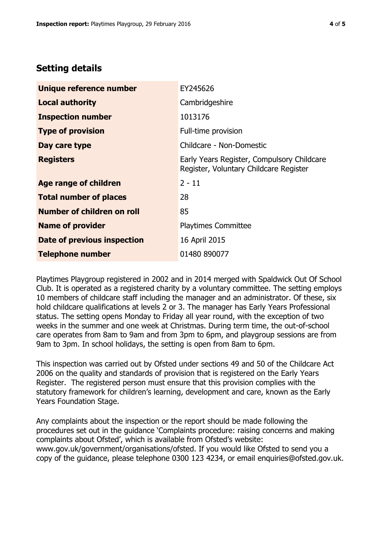# **Setting details**

| Unique reference number       | EY245626                                                                             |
|-------------------------------|--------------------------------------------------------------------------------------|
| <b>Local authority</b>        | Cambridgeshire                                                                       |
| <b>Inspection number</b>      | 1013176                                                                              |
| <b>Type of provision</b>      | Full-time provision                                                                  |
| Day care type                 | Childcare - Non-Domestic                                                             |
| <b>Registers</b>              | Early Years Register, Compulsory Childcare<br>Register, Voluntary Childcare Register |
| <b>Age range of children</b>  | $2 - 11$                                                                             |
| <b>Total number of places</b> | 28                                                                                   |
| Number of children on roll    | 85                                                                                   |
| <b>Name of provider</b>       | <b>Playtimes Committee</b>                                                           |
| Date of previous inspection   | 16 April 2015                                                                        |
| <b>Telephone number</b>       | 01480 890077                                                                         |

Playtimes Playgroup registered in 2002 and in 2014 merged with Spaldwick Out Of School Club. It is operated as a registered charity by a voluntary committee. The setting employs 10 members of childcare staff including the manager and an administrator. Of these, six hold childcare qualifications at levels 2 or 3. The manager has Early Years Professional status. The setting opens Monday to Friday all year round, with the exception of two weeks in the summer and one week at Christmas. During term time, the out-of-school care operates from 8am to 9am and from 3pm to 6pm, and playgroup sessions are from 9am to 3pm. In school holidays, the setting is open from 8am to 6pm.

This inspection was carried out by Ofsted under sections 49 and 50 of the Childcare Act 2006 on the quality and standards of provision that is registered on the Early Years Register. The registered person must ensure that this provision complies with the statutory framework for children's learning, development and care, known as the Early Years Foundation Stage.

Any complaints about the inspection or the report should be made following the procedures set out in the guidance 'Complaints procedure: raising concerns and making complaints about Ofsted', which is available from Ofsted's website: www.gov.uk/government/organisations/ofsted. If you would like Ofsted to send you a copy of the guidance, please telephone 0300 123 4234, or email enquiries@ofsted.gov.uk.